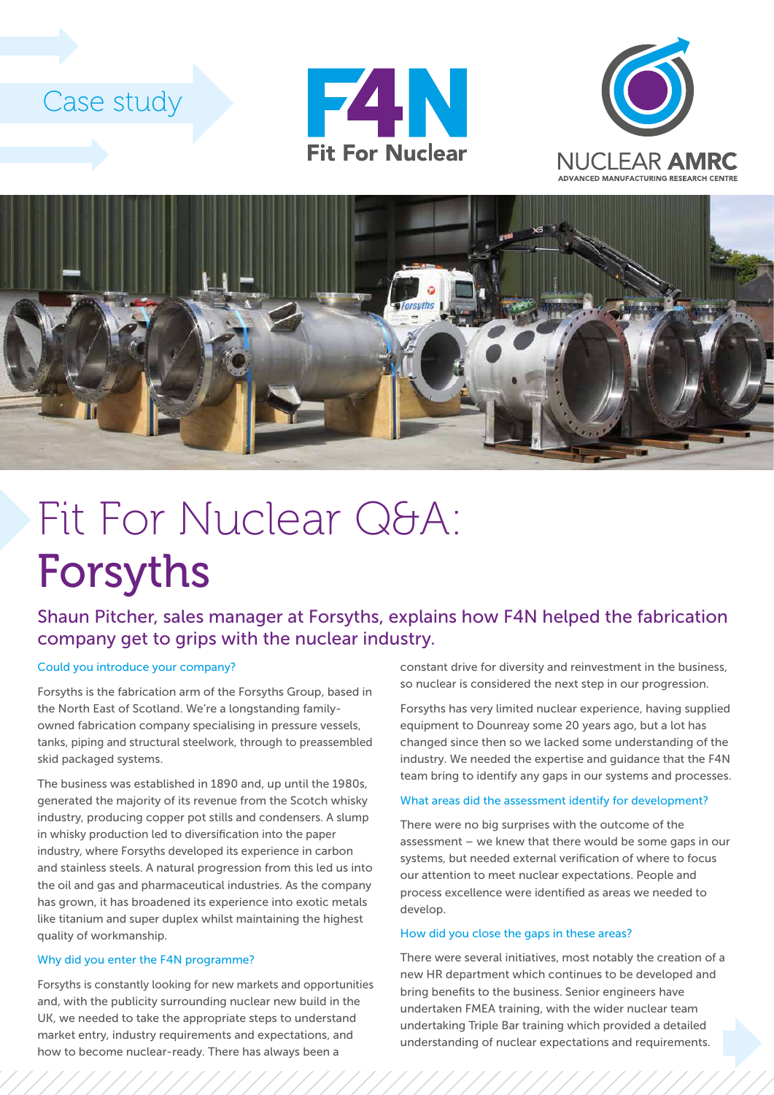# Case study







# Fit For Nuclear Q&A: Forsyths

### Shaun Pitcher, sales manager at Forsyths, explains how F4N helped the fabrication company get to grips with the nuclear industry.

#### Could you introduce your company?

Forsyths is the fabrication arm of the Forsyths Group, based in the North East of Scotland. We're a longstanding familyowned fabrication company specialising in pressure vessels, tanks, piping and structural steelwork, through to preassembled skid packaged systems.

The business was established in 1890 and, up until the 1980s, generated the majority of its revenue from the Scotch whisky industry, producing copper pot stills and condensers. A slump in whisky production led to diversification into the paper industry, where Forsyths developed its experience in carbon and stainless steels. A natural progression from this led us into the oil and gas and pharmaceutical industries. As the company has grown, it has broadened its experience into exotic metals like titanium and super duplex whilst maintaining the highest quality of workmanship.

#### Why did you enter the F4N programme?

Forsyths is constantly looking for new markets and opportunities and, with the publicity surrounding nuclear new build in the UK, we needed to take the appropriate steps to understand market entry, industry requirements and expectations, and how to become nuclear-ready. There has always been a

constant drive for diversity and reinvestment in the business, so nuclear is considered the next step in our progression.

Forsyths has very limited nuclear experience, having supplied equipment to Dounreay some 20 years ago, but a lot has changed since then so we lacked some understanding of the industry. We needed the expertise and guidance that the F4N team bring to identify any gaps in our systems and processes.

#### What areas did the assessment identify for development?

There were no big surprises with the outcome of the assessment – we knew that there would be some gaps in our systems, but needed external verification of where to focus our attention to meet nuclear expectations. People and process excellence were identified as areas we needed to develop.

#### How did you close the gaps in these areas?

There were several initiatives, most notably the creation of a new HR department which continues to be developed and bring benefits to the business. Senior engineers have undertaken FMEA training, with the wider nuclear team undertaking Triple Bar training which provided a detailed understanding of nuclear expectations and requirements.